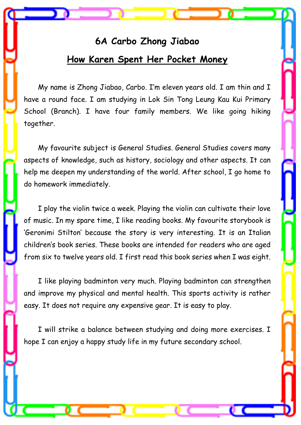## **6A Carbo Zhong Jiabao How Karen Spent Her Pocket Money**

 My name is Zhong Jiabao, Carbo. I'm eleven years old. I am thin and I have a round face. I am studying in Lok Sin Tong Leung Kau Kui Primary School (Branch). I have four family members. We like going hiking together.

 My favourite subject is General Studies. General Studies covers many aspects of knowledge, such as history, sociology and other aspects. It can help me deepen my understanding of the world. After school, I go home to do homework immediately.

 I play the violin twice a week. Playing the violin can cultivate their love of music. In my spare time, I like reading books. My favourite storybook is 'Geronimi Stilton' because the story is very interesting. It is an Italian children's book series. These books are intended for readers who are aged from six to twelve years old. I first read this book series when I was eight.

I like playing badminton very much. Playing badminton can strengthen and improve my physical and mental health. This sports activity is rather easy. It does not require any expensive gear. It is easy to play.

 I will strike a balance between studying and doing more exercises. I hope I can enjoy a happy study life in my future secondary school.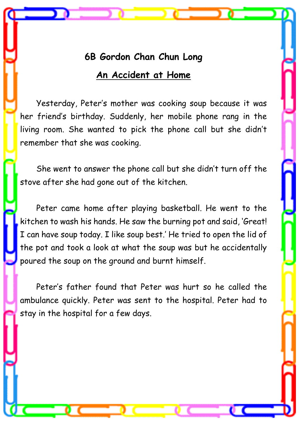### **6B Gordon Chan Chun Long**

#### **An Accident at Home**

Yesterday, Peter's mother was cooking soup because it was her friend's birthday. Suddenly, her mobile phone rang in the living room. She wanted to pick the phone call but she didn't remember that she was cooking.

She went to answer the phone call but she didn't turn off the stove after she had gone out of the kitchen.

Peter came home after playing basketball. He went to the kitchen to wash his hands. He saw the burning pot and said, 'Great! I can have soup today. I like soup best.' He tried to open the lid of the pot and took a look at what the soup was but he accidentally poured the soup on the ground and burnt himself.

Peter's father found that Peter was hurt so he called the ambulance quickly. Peter was sent to the hospital. Peter had to stay in the hospital for a few days.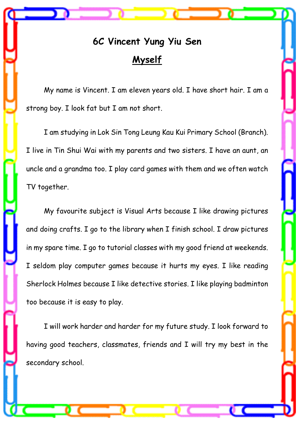# **6C Vincent Yung Yiu Sen Myself**

 My name is Vincent. I am eleven years old. I have short hair. I am a strong boy. I look fat but I am not short.

I am studying in Lok Sin Tong Leung Kau Kui Primary School (Branch). I live in Tin Shui Wai with my parents and two sisters. I have an aunt, an uncle and a grandma too. I play card games with them and we often watch TV together.

My favourite subject is Visual Arts because I like drawing pictures and doing crafts. I go to the library when I finish school. I draw pictures in my spare time. I go to tutorial classes with my good friend at weekends. I seldom play computer games because it hurts my eyes. I like reading Sherlock Holmes because I like detective stories. I like playing badminton too because it is easy to play.

I will work harder and harder for my future study. I look forward to having good teachers, classmates, friends and I will try my best in the secondary school.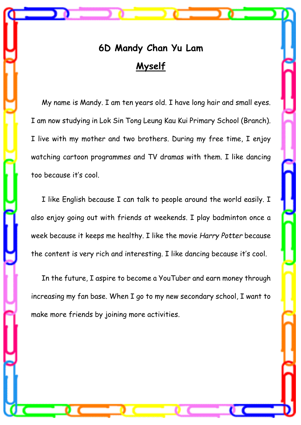# **6D Mandy Chan Yu Lam Myself**

 My name is Mandy. I am ten years old. I have long hair and small eyes. I am now studying in Lok Sin Tong Leung Kau Kui Primary School (Branch). I live with my mother and two brothers. During my free time, I enjoy watching cartoon programmes and TV dramas with them. I like dancing too because it's cool.

 I like English because I can talk to people around the world easily. I also enjoy going out with friends at weekends. I play badminton once a week because it keeps me healthy. I like the movie *Harry Potter* because the content is very rich and interesting. I like dancing because it's cool.

 In the future, I aspire to become a YouTuber and earn money through increasing my fan base. When I go to my new secondary school, I want to make more friends by joining more activities.